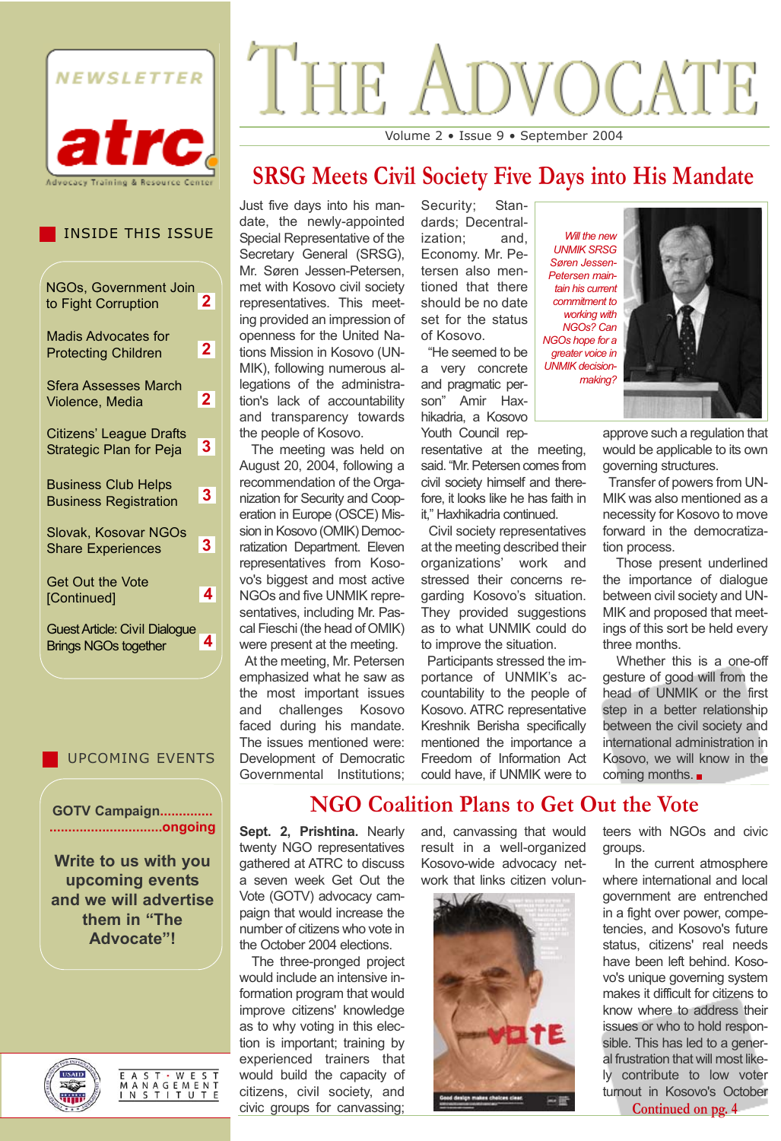

# **NOCATE** THE Volume 2 • Issue 9 • September 2004

# **SRSG Meets Civil Society Five Days into His Mandate**

INSIDE THIS ISSUE

| NGOs, Government Join                                               |              |
|---------------------------------------------------------------------|--------------|
| to Fight Corruption                                                 | 2            |
| <b>Madis Advocates for</b><br><b>Protecting Children</b>            | $\mathbf{2}$ |
| Sfera Assesses March<br>Violence, Media                             | $\mathbf{2}$ |
| <b>Citizens' League Drafts</b><br><b>Strategic Plan for Peja</b>    | 3            |
| <b>Business Club Helps</b><br><b>Business Registration</b>          | $\mathbf{3}$ |
| Slovak, Kosovar NGOs<br><b>Share Experiences</b>                    | 3.           |
| <b>Get Out the Vote</b><br>[Continued]                              | 4            |
| <b>Guest Article: Civil Dialogue</b><br><b>Brings NGOs together</b> | 4            |

#### UPCOMING EVENTS

**GOTV Campaign.............. ..............................ongoing**

**Write to us with you upcoming events and we will advertise them in "The Advocate"!**



E A S T · W E S T<br>M A N A G E M E N T<br>I N S T I T U T E

Just five days into his mandate, the newly-appointed Special Representative of the Secretary General (SRSG), Mr. Søren Jessen-Petersen, met with Kosovo civil society representatives. This meeting provided an impression of openness for the United Nations Mission in Kosovo (UN-MIK), following numerous allegations of the administration's lack of accountability and transparency towards the people of Kosovo.

The meeting was held on August 20, 2004, following a recommendation of the Organization for Security and Cooperation in Europe (OSCE) Mission in Kosovo (OMIK) Democratization Department. Eleven representatives from Kosovo's biggest and most active NGOs and five UNMIK representatives, including Mr. Pascal Fieschi (the head of OMIK) were present at the meeting.

At the meeting, Mr. Petersen emphasized what he saw as the most important issues and challenges Kosovo faced during his mandate. The issues mentioned were: Development of Democratic Governmental Institutions; Security; Standards; Decentralization; and, Economy. Mr. Petersen also mentioned that there should be no date set for the status of Kosovo.

"He seemed to be a very concrete and pragmatic person" Amir Haxhikadria, a Kosovo Youth Council rep-

resentative at the meeting, said. "Mr. Petersen comes from civil society himself and therefore, it looks like he has faith in it," Haxhikadria continued.

Civil society representatives at the meeting described their organizations' work and stressed their concerns regarding Kosovo's situation. They provided suggestions as to what UNMIK could do to improve the situation.

Participants stressed the importance of UNMIK's accountability to the people of Kosovo. ATRC representative Kreshnik Berisha specifically mentioned the importance a Freedom of Information Act could have, if UNMIK were to



approve such a regulation that would be applicable to its own governing structures.

Transfer of powers from UN-MIK was also mentioned as a necessity for Kosovo to move forward in the democratization process.

Those present underlined the importance of dialogue between civil society and UN-MIK and proposed that meetings of this sort be held every three months.

Whether this is a one-off gesture of good will from the head of UNMIK or the first step in a better relationship between the civil society and international administration in Kosovo, we will know in the coming months.

# **NGO Coalition Plans to Get Out the Vote**

**Sept. 2, Prishtina.** Nearly twenty NGO representatives gathered at ATRC to discuss a seven week Get Out the Vote (GOTV) advocacy campaign that would increase the number of citizens who vote in the October 2004 elections.

The three-pronged project would include an intensive information program that would improve citizens' knowledge as to why voting in this election is important; training by experienced trainers that would build the capacity of citizens, civil society, and civic groups for canvassing;

and, canvassing that would result in a well-organized Kosovo-wide advocacy network that links citizen volun-



teers with NGOs and civic groups.

In the current atmosphere where international and local government are entrenched in a fight over power, competencies, and Kosovo's future status, citizens' real needs have been left behind. Kosovo's unique governing system makes it difficult for citizens to know where to address their issues or who to hold responsible. This has led to a general frustration that will most likely contribute to low voter turnout in Kosovo's October

**Continued on pg. 4**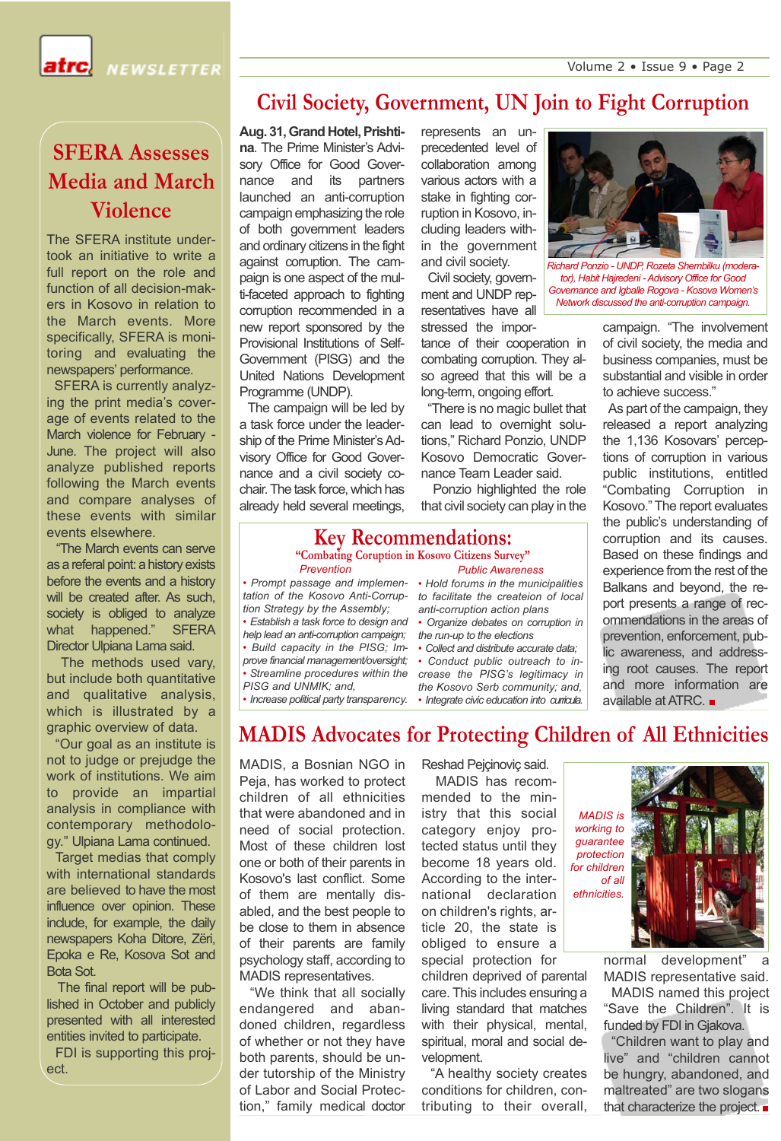**IEWSLETTER** 

### **Civil Society, Government, UN Join to Fight Corruption**

**SFERA Assesses Media and March Violence**

The SFERA institute undertook an initiative to write a full report on the role and function of all decision-makers in Kosovo in relation to the March events. More specifically, SFERA is monitoring and evaluating the newspapers' performance.

SFERA is currently analyzing the print media's coverage of events related to the March violence for February - June. The project will also analyze published reports following the March events and compare analyses of these events with similar events elsewhere.

"The March events can serve as a referal point: a history exists before the events and a history will be created after. As such, society is obliged to analyze what happened." SFERA Director Ulpiana Lama said.

The methods used vary, but include both quantitative and qualitative analysis, which is illustrated by a graphic overview of data.

"Our goal as an institute is not to judge or prejudge the work of institutions. We aim to provide an impartial analysis in compliance with contemporary methodology." Ulpiana Lama continued.

Target medias that comply with international standards are believed to have the most influence over opinion. These include, for example, the daily newspapers Koha Ditore, Zëri, Epoka e Re, Kosova Sot and Bota Sot.

The final report will be published in October and publicly presented with all interested entities invited to participate.

FDI is supporting this project.

**Aug. 31, Grand Hotel, Prishtina**. The Prime Minister's Advisory Office for Good Governance and its partners launched an anti-corruption campaign emphasizing the role of both government leaders and ordinary citizens in the fight against corruption. The campaign is one aspect of the multi-faceted approach to fighting corruption recommended in a new report sponsored by the Provisional Institutions of Self-Government (PISG) and the United Nations Development Programme (UNDP).

The campaign will be led by a task force under the leadership of the Prime Minister's Advisory Office for Good Governance and a civil society cochair. The task force, which has already held several meetings,

represents an unprecedented level of collaboration among various actors with a stake in fighting corruption in Kosovo, including leaders within the government and civil society.

Civil society, government and UNDP representatives have all stressed the impor-

tance of their cooperation in combating corruption. They also agreed that this will be a long-term, ongoing effort.

"There is no magic bullet that can lead to overnight solutions," Richard Ponzio, UNDP Kosovo Democratic Governance Team Leader said.

Ponzio highlighted the role that civil society can play in the

#### **Key Recommendations:**

*Prevention Public Awareness* **"Combating Coruption in Kosovo Citizens Survey"**

*• Prompt passage and implemen-• Hold forums in the municipalities tation of the Kosovo Anti-Corrup-to facilitate the createion of local tion Strategy by the Assembly;*

*• Establish a task force to design and help lead an anti-corruption campaign;*

*• Build capacity in the PISG; Improve financial management/oversight;*

*• Streamline procedures within the PISG and UNMIK; and,*

*• Increase political party transparency.*

*anti-corruption action plans* 

*• Organize debates on corruption in the run-up to the elections*

*• Collect and distribute accurate data; • Conduct public outreach to in-*

*crease the PISG's legitimacy in the Kosovo Serb community; and, • Integrate civic education into curricula.*



*Richard Ponzio - UNDP, Rozeta Shembilku (moderator), Habit Hajredeni - Advisory Office for Good Governance and Igballe Rogova - Kosova Women's Network discussed the anti-corruption campaign.* 

campaign. "The involvement of civil society, the media and business companies, must be substantial and visible in order to achieve success."

As part of the campaign, they released a report analyzing the 1,136 Kosovars' perceptions of corruption in various public institutions, entitled "Combating Corruption in Kosovo." The report evaluates the public's understanding of corruption and its causes. Based on these findings and experience from the rest of the Balkans and beyond, the report presents a range of recommendations in the areas of prevention, enforcement, public awareness, and addressing root causes. The report and more information are available at ATRC.

### **MADIS Advocates for Protecting Children of All Ethnicities**

MADIS, a Bosnian NGO in Peja, has worked to protect children of all ethnicities that were abandoned and in need of social protection. Most of these children lost one or both of their parents in Kosovo's last conflict. Some of them are mentally disabled, and the best people to be close to them in absence of their parents are family psychology staff, according to MADIS representatives.

"We think that all socially endangered and abandoned children, regardless of whether or not they have both parents, should be under tutorship of the Ministry of Labor and Social Protection," family medical doctor Reshad Pejçinoviç said.

MADIS has recommended to the ministry that this social category enjoy protected status until they become 18 years old. According to the international declaration on children's rights, article 20, the state is obliged to ensure a special protection for

children deprived of parental care. This includes ensuring a living standard that matches with their physical, mental, spiritual, moral and social development.

"A healthy society creates conditions for children, contributing to their overall,

*MADIS is working to guarantee protection for children of all ethnicities.*

> normal development" MADIS representative said. MADIS named this project "Save the Children". It is funded by FDI in Gjakova.

> "Children want to play and live" and "children cannot be hungry, abandoned, and maltreated" are two slogans that characterize the project.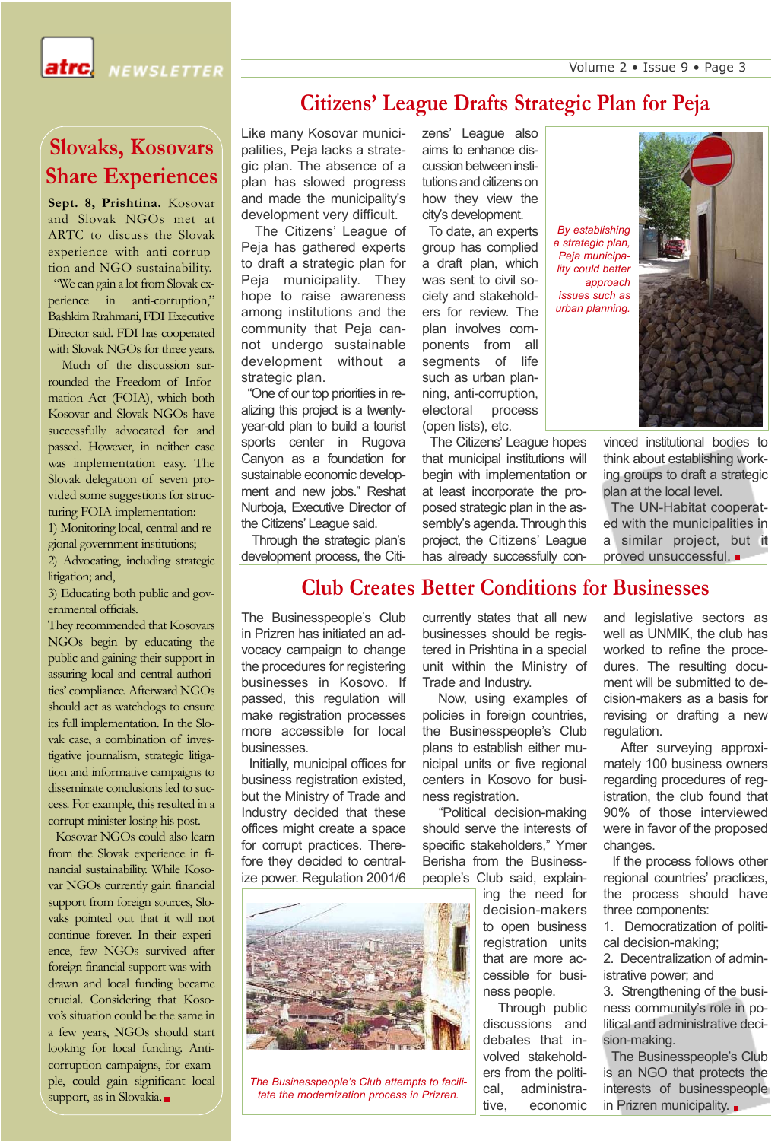Volume 2 • Issue 9 • Page 3



atrcl

# **Slovaks, Kosovars Share Experiences**

**Sept. 8, Prishtina.** Kosovar and Slovak NGOs met at ARTC to discuss the Slovak experience with anti-corruption and NGO sustainability.

"We can gain a lot from Slovak experience in anti-corruption," Bashkim Rrahmani, FDI Executive Director said. FDI has cooperated with Slovak NGOs for three years.

Much of the discussion surrounded the Freedom of Information Act (FOIA), which both Kosovar and Slovak NGOs have successfully advocated for and passed. However, in neither case was implementation easy. The Slovak delegation of seven provided some suggestions for structuring FOIA implementation:

1) Monitoring local, central and regional government institutions;

2) Advocating, including strategic litigation; and,

3) Educating both public and governmental officials.

They recommended that Kosovars NGOs begin by educating the public and gaining their support in assuring local and central authorities' compliance. Afterward NGOs should act as watchdogs to ensure its full implementation. In the Slovak case, a combination of investigative journalism, strategic litigation and informative campaigns to disseminate conclusions led to success. For example, this resulted in a corrupt minister losing his post.

Kosovar NGOs could also learn from the Slovak experience in financial sustainability. While Kosovar NGOs currently gain financial support from foreign sources, Slovaks pointed out that it will not continue forever. In their experience, few NGOs survived after foreign financial support was withdrawn and local funding became crucial. Considering that Kosovo's situation could be the same in a few years, NGOs should start looking for local funding. Anticorruption campaigns, for example, could gain significant local support, as in Slovakia.

## **Citizens' League Drafts Strategic Plan for Peja**

Like many Kosovar municipalities, Peja lacks a strategic plan. The absence of a plan has slowed progress and made the municipality's development very difficult.

The Citizens' League of Peja has gathered experts to draft a strategic plan for Peja municipality. They hope to raise awareness among institutions and the community that Peja cannot undergo sustainable development without a strategic plan.

"One of our top priorities in realizing this project is a twentyyear-old plan to build a tourist sports center in Rugova Canyon as a foundation for sustainable economic development and new jobs." Reshat Nurboja, Executive Director of the Citizens' League said.

Through the strategic plan's development process, the Citizens' League also aims to enhance discussion between institutions and citizens on how they view the city's development.

To date, an experts group has complied a draft plan, which was sent to civil society and stakeholders for review. The plan involves components from all segments of life such as urban planning, anti-corruption, electoral process (open lists), etc.

The Citizens' League hopes that municipal institutions will begin with implementation or at least incorporate the proposed strategic plan in the assembly's agenda. Through this project, the Citizens' League has already successfully con-

*By establishing a strategic plan, Peja municipality could better approach issues such as urban planning.*

> vinced institutional bodies to think about establishing working groups to draft a strategic plan at the local level.

> The UN-Habitat cooperated with the municipalities in a similar project, but it proved unsuccessful.

### **Club Creates Better Conditions for Businesses**

The Businesspeople's Club in Prizren has initiated an advocacy campaign to change the procedures for registering businesses in Kosovo. If passed, this regulation will make registration processes more accessible for local businesses.

Initially, municipal offices for business registration existed. but the Ministry of Trade and Industry decided that these offices might create a space for corrupt practices. Therefore they decided to centralize power. Regulation 2001/6



*The Businesspeople's Club attempts to facilitate the modernization process in Prizren.*

currently states that all new businesses should be registered in Prishtina in a special unit within the Ministry of Trade and Industry.

Now, using examples of policies in foreign countries, the Businesspeople's Club plans to establish either municipal units or five regional centers in Kosovo for business registration.

"Political decision-making should serve the interests of specific stakeholders," Ymer Berisha from the Businesspeople's Club said, explain-

> ing the need for decision-makers to open business registration units that are more accessible for business people.

Through public discussions and debates that involved stakeholders from the political, administrative, economic and legislative sectors as well as UNMIK, the club has worked to refine the procedures. The resulting document will be submitted to decision-makers as a basis for revising or drafting a new regulation.

After surveying approximately 100 business owners regarding procedures of registration, the club found that 90% of those interviewed were in favor of the proposed changes.

If the process follows other regional countries' practices, the process should have three components:

1. Democratization of political decision-making;

2. Decentralization of administrative power; and

3. Strengthening of the business community's role in political and administrative decision-making.

The Businesspeople's Club is an NGO that protects the interests of businesspeople in Prizren municipality.  $\blacksquare$